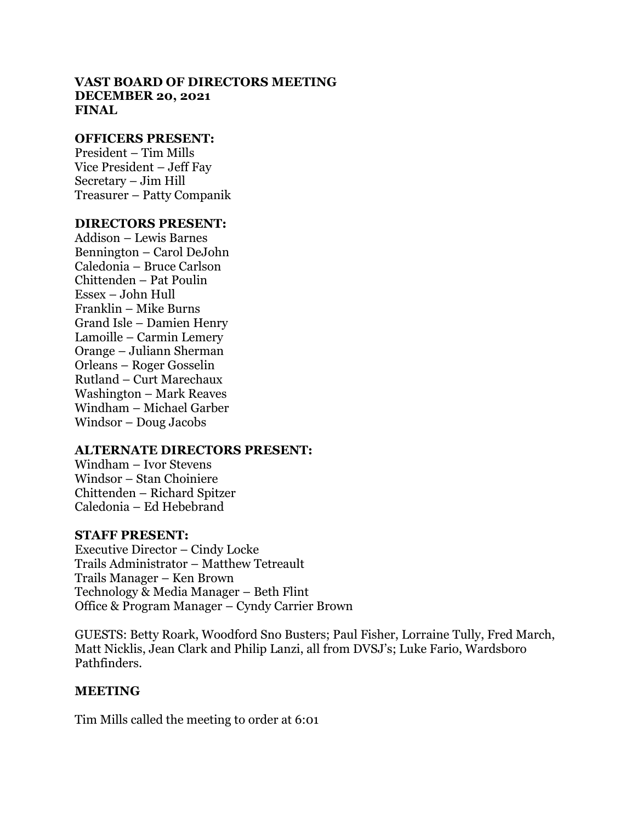### **VAST BOARD OF DIRECTORS MEETING DECEMBER 20, 2021 FINAL**

#### **OFFICERS PRESENT:**

President – Tim Mills Vice President – Jeff Fay Secretary – Jim Hill Treasurer – Patty Companik

### **DIRECTORS PRESENT:**

Addison – Lewis Barnes Bennington – Carol DeJohn Caledonia – Bruce Carlson Chittenden – Pat Poulin Essex – John Hull Franklin – Mike Burns Grand Isle – Damien Henry Lamoille – Carmin Lemery Orange – Juliann Sherman Orleans – Roger Gosselin Rutland – Curt Marechaux Washington – Mark Reaves Windham – Michael Garber Windsor – Doug Jacobs

### **ALTERNATE DIRECTORS PRESENT:**

Windham – Ivor Stevens Windsor – Stan Choiniere Chittenden – Richard Spitzer Caledonia – Ed Hebebrand

### **STAFF PRESENT:**

Executive Director – Cindy Locke Trails Administrator – Matthew Tetreault Trails Manager – Ken Brown Technology & Media Manager – Beth Flint Office & Program Manager – Cyndy Carrier Brown

GUESTS: Betty Roark, Woodford Sno Busters; Paul Fisher, Lorraine Tully, Fred March, Matt Nicklis, Jean Clark and Philip Lanzi, all from DVSJ's; Luke Fario, Wardsboro Pathfinders.

## **MEETING**

Tim Mills called the meeting to order at 6:01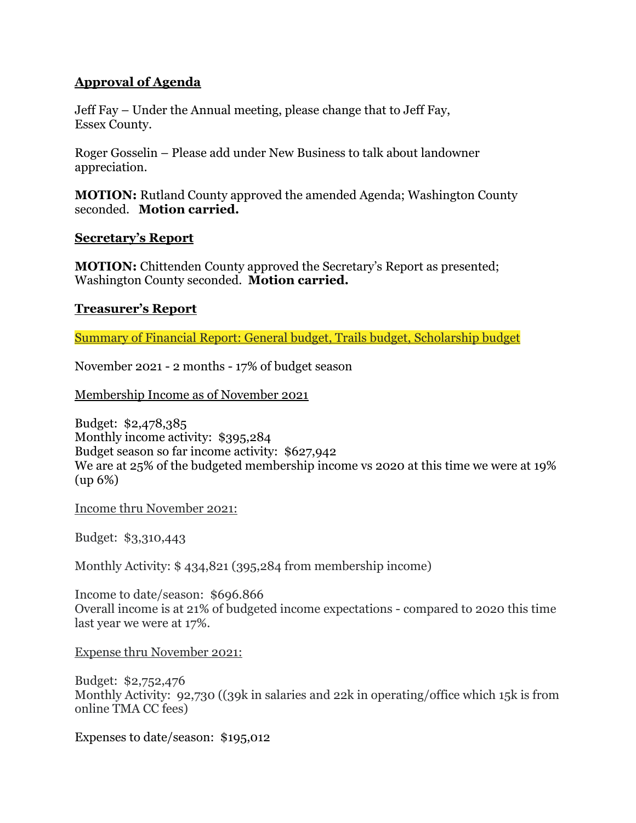# **Approval of Agenda**

Jeff Fay – Under the Annual meeting, please change that to Jeff Fay, Essex County.

Roger Gosselin – Please add under New Business to talk about landowner appreciation.

**MOTION:** Rutland County approved the amended Agenda; Washington County seconded. **Motion carried.**

### **Secretary's Report**

**MOTION:** Chittenden County approved the Secretary's Report as presented; Washington County seconded. **Motion carried.**

## **Treasurer's Report**

Summary of Financial Report: General budget, Trails budget, Scholarship budget

November 2021 - 2 months - 17% of budget season

Membership Income as of November 2021

Budget: \$2,478,385 Monthly income activity: \$395,284 Budget season so far income activity: \$627,942 We are at 25% of the budgeted membership income vs 2020 at this time we were at 19% (up 6%)

Income thru November 2021:

Budget: \$3,310,443

Monthly Activity: \$ 434,821 (395,284 from membership income)

Income to date/season: \$696.866 Overall income is at 21% of budgeted income expectations - compared to 2020 this time last year we were at 17%.

Expense thru November 2021:

Budget: \$2,752,476 Monthly Activity: 92,730 ((39k in salaries and 22k in operating/office which 15k is from online TMA CC fees)

Expenses to date/season: \$195,012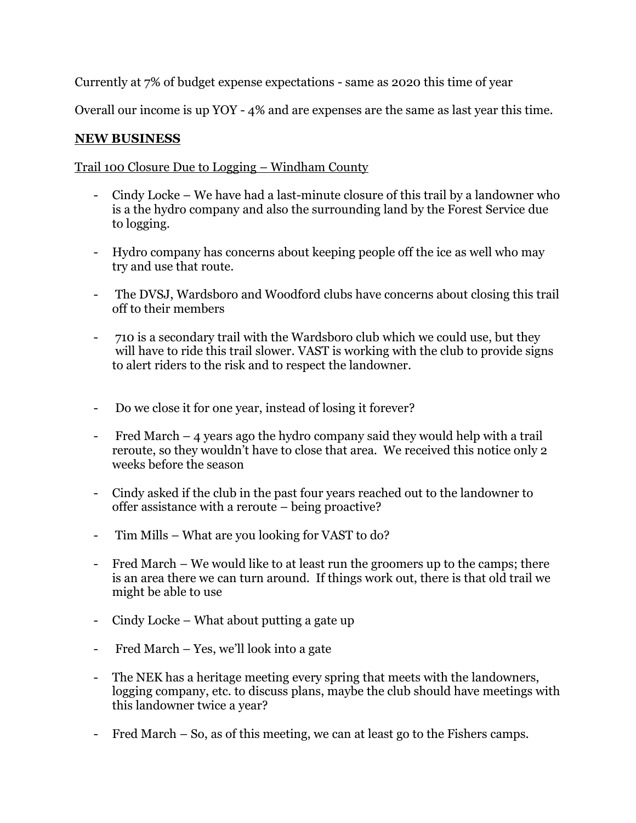Currently at 7% of budget expense expectations - same as 2020 this time of year

Overall our income is up YOY - 4% and are expenses are the same as last year this time.

# **NEW BUSINESS**

## Trail 100 Closure Due to Logging – Windham County

- Cindy Locke We have had a last-minute closure of this trail by a landowner who is a the hydro company and also the surrounding land by the Forest Service due to logging.
- Hydro company has concerns about keeping people off the ice as well who may try and use that route.
- The DVSJ, Wardsboro and Woodford clubs have concerns about closing this trail off to their members
- 710 is a secondary trail with the Wardsboro club which we could use, but they will have to ride this trail slower. VAST is working with the club to provide signs to alert riders to the risk and to respect the landowner.
- Do we close it for one year, instead of losing it forever?
- Fred March 4 years ago the hydro company said they would help with a trail reroute, so they wouldn't have to close that area. We received this notice only 2 weeks before the season
- Cindy asked if the club in the past four years reached out to the landowner to offer assistance with a reroute – being proactive?
- Tim Mills What are you looking for VAST to do?
- Fred March We would like to at least run the groomers up to the camps; there is an area there we can turn around. If things work out, there is that old trail we might be able to use
- Cindy Locke What about putting a gate up
- Fred March Yes, we'll look into a gate
- The NEK has a heritage meeting every spring that meets with the landowners, logging company, etc. to discuss plans, maybe the club should have meetings with this landowner twice a year?
- Fred March So, as of this meeting, we can at least go to the Fishers camps.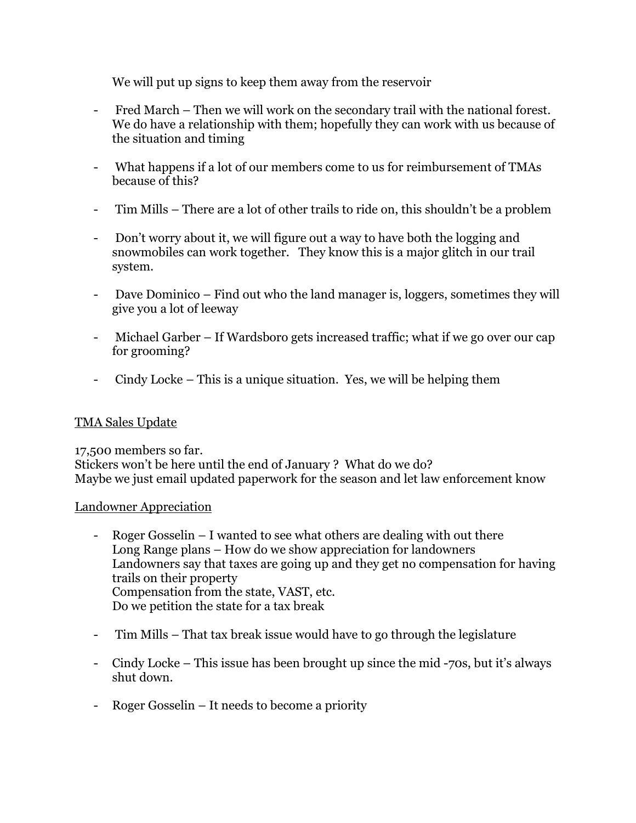We will put up signs to keep them away from the reservoir

- Fred March Then we will work on the secondary trail with the national forest. We do have a relationship with them; hopefully they can work with us because of the situation and timing
- What happens if a lot of our members come to us for reimbursement of TMAs because of this?
- Tim Mills There are a lot of other trails to ride on, this shouldn't be a problem
- Don't worry about it, we will figure out a way to have both the logging and snowmobiles can work together. They know this is a major glitch in our trail system.
- Dave Dominico Find out who the land manager is, loggers, sometimes they will give you a lot of leeway
- Michael Garber If Wardsboro gets increased traffic; what if we go over our cap for grooming?
- Cindy Locke This is a unique situation. Yes, we will be helping them

# TMA Sales Update

17,500 members so far. Stickers won't be here until the end of January ? What do we do? Maybe we just email updated paperwork for the season and let law enforcement know

## Landowner Appreciation

- Roger Gosselin I wanted to see what others are dealing with out there Long Range plans – How do we show appreciation for landowners Landowners say that taxes are going up and they get no compensation for having trails on their property Compensation from the state, VAST, etc. Do we petition the state for a tax break
- Tim Mills That tax break issue would have to go through the legislature
- Cindy Locke This issue has been brought up since the mid -70s, but it's always shut down.
- Roger Gosselin It needs to become a priority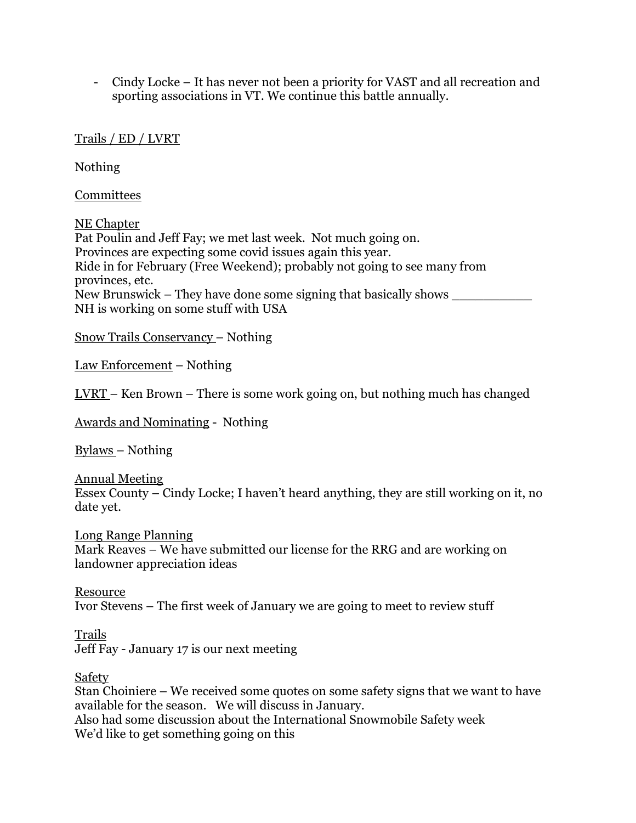- Cindy Locke – It has never not been a priority for VAST and all recreation and sporting associations in VT. We continue this battle annually.

## Trails / ED / LVRT

Nothing

**Committees** 

NE Chapter Pat Poulin and Jeff Fay; we met last week. Not much going on. Provinces are expecting some covid issues again this year. Ride in for February (Free Weekend); probably not going to see many from provinces, etc. New Brunswick – They have done some signing that basically shows NH is working on some stuff with USA

Snow Trails Conservancy – Nothing

Law Enforcement – Nothing

LVRT – Ken Brown – There is some work going on, but nothing much has changed

Awards and Nominating - Nothing

Bylaws – Nothing

Annual Meeting Essex County – Cindy Locke; I haven't heard anything, they are still working on it, no date yet.

Long Range Planning Mark Reaves – We have submitted our license for the RRG and are working on landowner appreciation ideas

Resource Ivor Stevens – The first week of January we are going to meet to review stuff

Trails Jeff Fay - January 17 is our next meeting

Safety

Stan Choiniere – We received some quotes on some safety signs that we want to have available for the season. We will discuss in January. Also had some discussion about the International Snowmobile Safety week We'd like to get something going on this